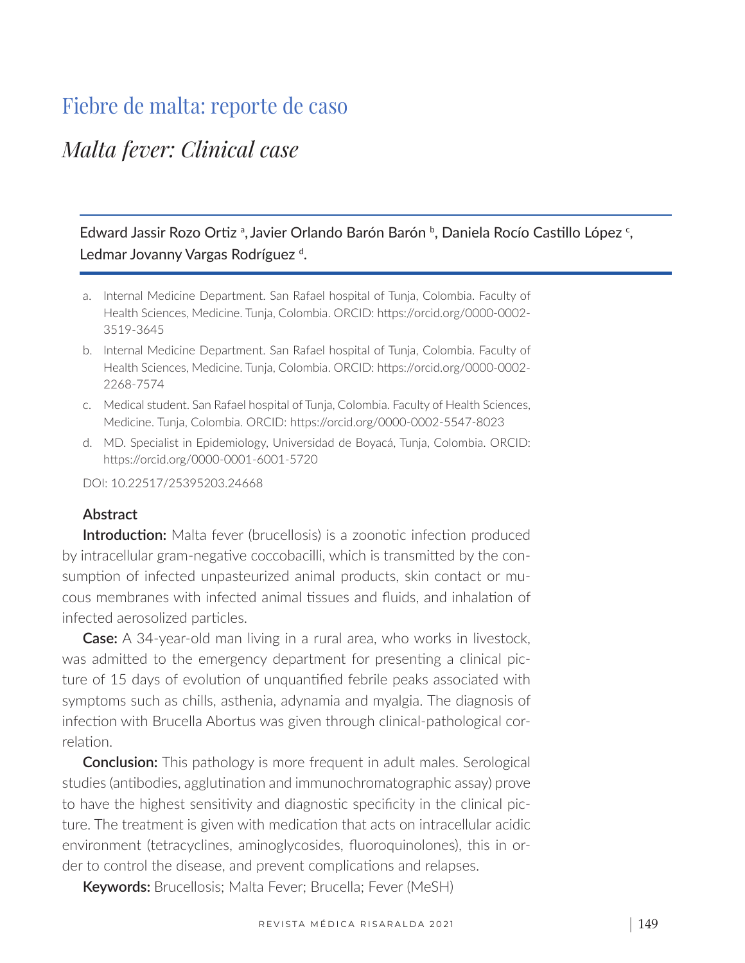# Fiebre de malta: reporte de caso

## *Malta fever: Clinical case*

Edward Jassir Rozo Ortiz<sup>a</sup>, Javier Orlando Barón Barón <sup>b</sup>, Daniela Rocío Castillo López <sup>c</sup>, Ledmar Jovanny Vargas Rodríguez<sup>d</sup>.

- a. Internal Medicine Department. San Rafael hospital of Tunja, Colombia. Faculty of Health Sciences, Medicine. Tunja, Colombia. ORCID: https://orcid.org/0000-0002- 3519-3645
- b. Internal Medicine Department. San Rafael hospital of Tunja, Colombia. Faculty of Health Sciences, Medicine. Tunja, Colombia. ORCID: https://orcid.org/0000-0002- 2268-7574
- c. Medical student. San Rafael hospital of Tunja, Colombia. Faculty of Health Sciences, Medicine. Tunja, Colombia. ORCID: https://orcid.org/0000-0002-5547-8023
- d. MD. Specialist in Epidemiology, Universidad de Boyacá, Tunja, Colombia. ORCID: https://orcid.org/0000-0001-6001-5720

DOI: 10.22517/25395203.24668

#### **Abstract**

**Introduction:** Malta fever (brucellosis) is a zoonotic infection produced by intracellular gram-negative coccobacilli, which is transmitted by the consumption of infected unpasteurized animal products, skin contact or mucous membranes with infected animal tissues and fluids, and inhalation of infected aerosolized particles.

**Case:** A 34-year-old man living in a rural area, who works in livestock, was admitted to the emergency department for presenting a clinical picture of 15 days of evolution of unquantified febrile peaks associated with symptoms such as chills, asthenia, adynamia and myalgia. The diagnosis of infection with Brucella Abortus was given through clinical-pathological correlation.

**Conclusion:** This pathology is more frequent in adult males. Serological studies (antibodies, agglutination and immunochromatographic assay) prove to have the highest sensitivity and diagnostic specificity in the clinical picture. The treatment is given with medication that acts on intracellular acidic environment (tetracyclines, aminoglycosides, fluoroquinolones), this in order to control the disease, and prevent complications and relapses.

**Keywords:** Brucellosis; Malta Fever; Brucella; Fever (MeSH)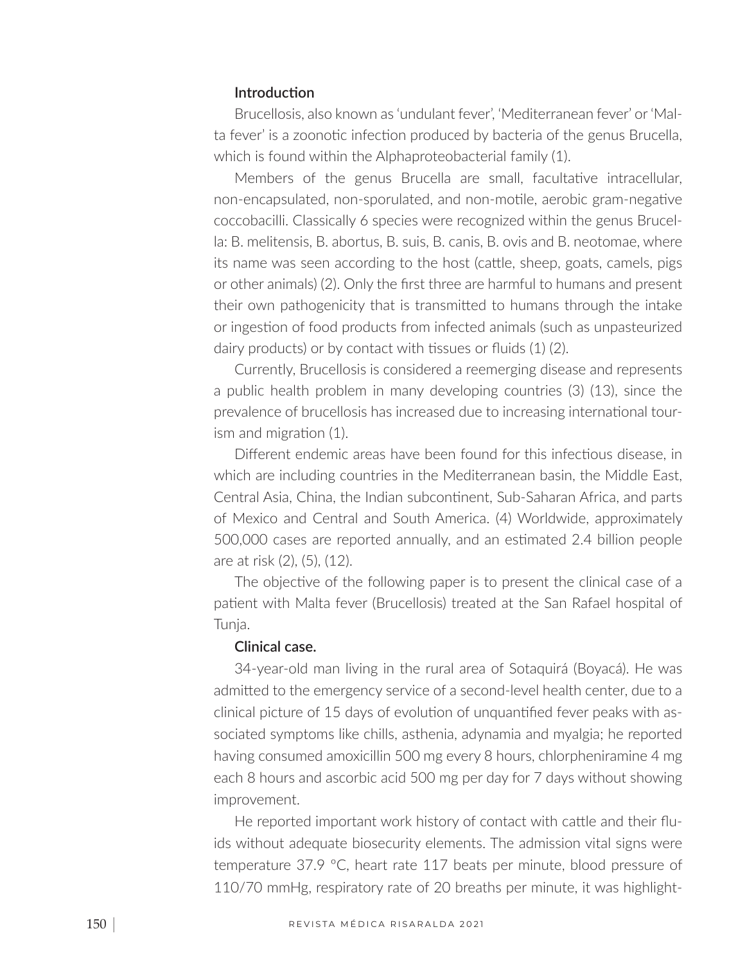#### **Introduction**

Brucellosis, also known as 'undulant fever', 'Mediterranean fever' or 'Malta fever' is a zoonotic infection produced by bacteria of the genus Brucella, which is found within the Alphaproteobacterial family (1).

Members of the genus Brucella are small, facultative intracellular, non-encapsulated, non-sporulated, and non-motile, aerobic gram-negative coccobacilli. Classically 6 species were recognized within the genus Brucella: B. melitensis, B. abortus, B. suis, B. canis, B. ovis and B. neotomae, where its name was seen according to the host (cattle, sheep, goats, camels, pigs or other animals) (2). Only the first three are harmful to humans and present their own pathogenicity that is transmitted to humans through the intake or ingestion of food products from infected animals (such as unpasteurized dairy products) or by contact with tissues or fluids (1) (2).

Currently, Brucellosis is considered a reemerging disease and represents a public health problem in many developing countries (3) (13), since the prevalence of brucellosis has increased due to increasing international tourism and migration (1).

Different endemic areas have been found for this infectious disease, in which are including countries in the Mediterranean basin, the Middle East, Central Asia, China, the Indian subcontinent, Sub-Saharan Africa, and parts of Mexico and Central and South America. (4) Worldwide, approximately 500,000 cases are reported annually, and an estimated 2.4 billion people are at risk (2), (5), (12).

The objective of the following paper is to present the clinical case of a patient with Malta fever (Brucellosis) treated at the San Rafael hospital of Tunja.

#### **Clinical case.**

34-year-old man living in the rural area of Sotaquirá (Boyacá). He was admitted to the emergency service of a second-level health center, due to a clinical picture of 15 days of evolution of unquantified fever peaks with associated symptoms like chills, asthenia, adynamia and myalgia; he reported having consumed amoxicillin 500 mg every 8 hours, chlorpheniramine 4 mg each 8 hours and ascorbic acid 500 mg per day for 7 days without showing improvement.

He reported important work history of contact with cattle and their fluids without adequate biosecurity elements. The admission vital signs were temperature 37.9 ºC, heart rate 117 beats per minute, blood pressure of 110/70 mmHg, respiratory rate of 20 breaths per minute, it was highlight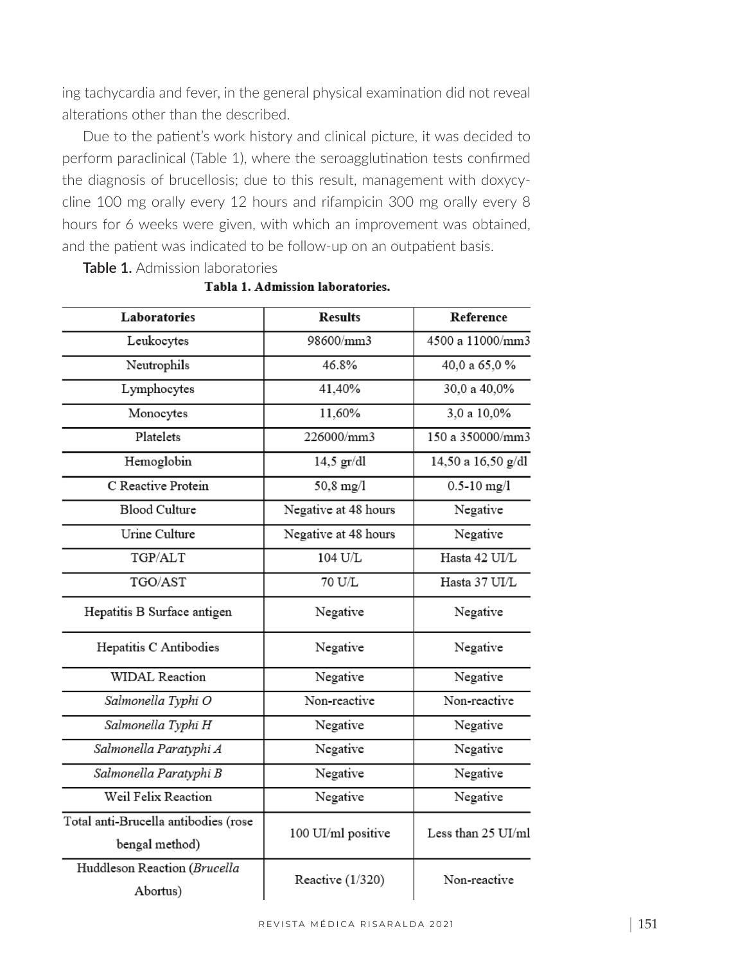ing tachycardia and fever, in the general physical examination did not reveal alterations other than the described.

Due to the patient's work history and clinical picture, it was decided to perform paraclinical (Table 1), where the seroagglutination tests confirmed the diagnosis of brucellosis; due to this result, management with doxycycline 100 mg orally every 12 hours and rifampicin 300 mg orally every 8 hours for 6 weeks were given, with which an improvement was obtained, and the patient was indicated to be follow-up on an outpatient basis.

**Table 1.** Admission laboratories

| Laboratories                                           | <b>Results</b>       | Reference          |
|--------------------------------------------------------|----------------------|--------------------|
| Leukocytes                                             | 98600/mm3            | 4500 a 11000/mm3   |
| Neutrophils                                            | 46.8%                | 40,0 a 65,0 %      |
| Lymphocytes                                            | 41,40%               | 30,0 a 40,0%       |
| Monocytes                                              | 11,60%               | 3,0 a 10,0%        |
| Platelets                                              | 226000/mm3           | 150 a 350000/mm3   |
| Hemoglobin                                             | $14,5$ gr/dl         | 14,50 a 16,50 g/dl |
| C Reactive Protein                                     | 50,8 mg/l            | $0.5 - 10$ mg/l    |
| <b>Blood Culture</b>                                   | Negative at 48 hours | Negative           |
| Urine Culture                                          | Negative at 48 hours | Negative           |
| TGP/ALT                                                | 104 U/L              | Hasta 42 UI/L      |
| TGO/AST                                                | 70 U/L               | Hasta 37 UI/L      |
| Hepatitis B Surface antigen                            | Negative             | Negative           |
| Hepatitis C Antibodies                                 | Negative             | Negative           |
| <b>WIDAL</b> Reaction                                  | Negative             | Negative           |
| Salmonella Typhi O                                     | Non-reactive         | Non-reactive       |
| Salmonella Typhi H                                     | Negative             | Negative           |
| Salmonella Paratyphi A                                 | Negative             | Negative           |
| Salmonella Paratyphi B                                 | Negative             | Negative           |
| Weil Felix Reaction                                    | Negative             | Negative           |
| Total anti-Brucella antibodies (rose<br>bengal method) | 100 UI/ml positive   | Less than 25 UI/ml |
| Huddleson Reaction (Brucella<br>Abortus)               | Reactive (1/320)     | Non-reactive       |

Tabla 1. Admission laboratories.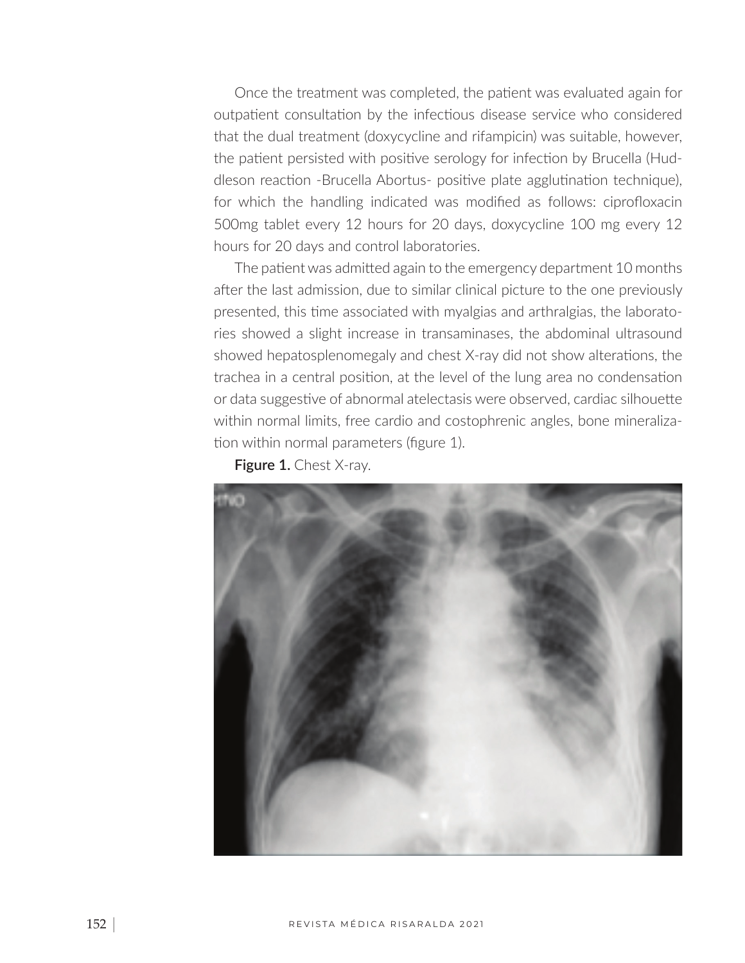Once the treatment was completed, the patient was evaluated again for outpatient consultation by the infectious disease service who considered that the dual treatment (doxycycline and rifampicin) was suitable, however, the patient persisted with positive serology for infection by Brucella (Huddleson reaction -Brucella Abortus- positive plate agglutination technique), for which the handling indicated was modified as follows: ciprofloxacin 500mg tablet every 12 hours for 20 days, doxycycline 100 mg every 12 hours for 20 days and control laboratories.

The patient was admitted again to the emergency department 10 months after the last admission, due to similar clinical picture to the one previously presented, this time associated with myalgias and arthralgias, the laboratories showed a slight increase in transaminases, the abdominal ultrasound showed hepatosplenomegaly and chest X-ray did not show alterations, the trachea in a central position, at the level of the lung area no condensation or data suggestive of abnormal atelectasis were observed, cardiac silhouette within normal limits, free cardio and costophrenic angles, bone mineralization within normal parameters (figure 1).

**Figure 1.** Chest X-ray.

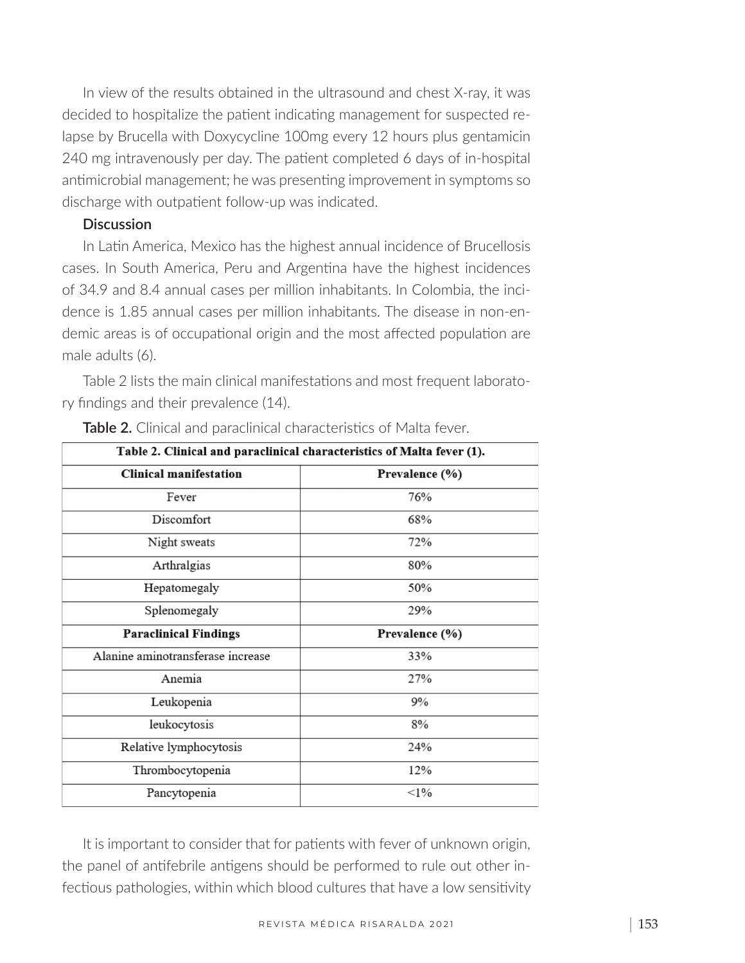In view of the results obtained in the ultrasound and chest X-ray, it was decided to hospitalize the patient indicating management for suspected relapse by Brucella with Doxycycline 100mg every 12 hours plus gentamicin 240 mg intravenously per day. The patient completed 6 days of in-hospital antimicrobial management; he was presenting improvement in symptoms so discharge with outpatient follow-up was indicated.

### **Discussion**

In Latin America, Mexico has the highest annual incidence of Brucellosis cases. In South America, Peru and Argentina have the highest incidences of 34.9 and 8.4 annual cases per million inhabitants. In Colombia, the incidence is 1.85 annual cases per million inhabitants. The disease in non-endemic areas is of occupational origin and the most affected population are male adults (6).

Table 2 lists the main clinical manifestations and most frequent laboratory findings and their prevalence (14).

| Table 2. Clinical and paraclinical characteristics of Malta fever (1). |                |  |
|------------------------------------------------------------------------|----------------|--|
| <b>Clinical manifestation</b>                                          | Prevalence (%) |  |
| Fever                                                                  | 76%            |  |
| Discomfort                                                             | 68%            |  |
| Night sweats                                                           | 72%            |  |
| Arthralgias                                                            | 80%            |  |
| Hepatomegaly                                                           | 50%            |  |
| Splenomegaly                                                           | 29%            |  |
| <b>Paraclinical Findings</b>                                           | Prevalence (%) |  |
| Alanine aminotransferase increase                                      | 33%            |  |
| Anemia                                                                 | 27%            |  |
| Leukopenia                                                             | 9%             |  |
| leukocytosis                                                           | 8%             |  |
| Relative lymphocytosis                                                 | 24%            |  |
| Thrombocytopenia                                                       | 12%            |  |
| Pancytopenia                                                           | <1%            |  |

**Table 2.** Clinical and paraclinical characteristics of Malta fever.

It is important to consider that for patients with fever of unknown origin, the panel of antifebrile antigens should be performed to rule out other infectious pathologies, within which blood cultures that have a low sensitivity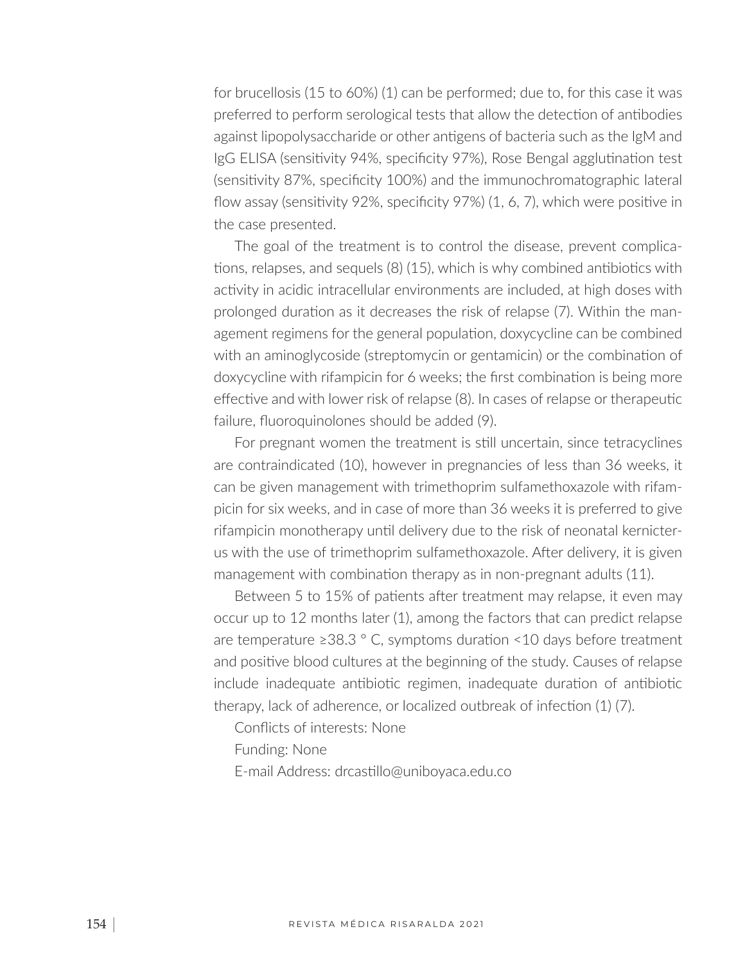for brucellosis (15 to 60%) (1) can be performed; due to, for this case it was preferred to perform serological tests that allow the detection of antibodies against lipopolysaccharide or other antigens of bacteria such as the IgM and IgG ELISA (sensitivity 94%, specificity 97%), Rose Bengal agglutination test (sensitivity 87%, specificity 100%) and the immunochromatographic lateral flow assay (sensitivity 92%, specificity 97%) (1, 6, 7), which were positive in the case presented.

The goal of the treatment is to control the disease, prevent complications, relapses, and sequels (8) (15), which is why combined antibiotics with activity in acidic intracellular environments are included, at high doses with prolonged duration as it decreases the risk of relapse (7). Within the management regimens for the general population, doxycycline can be combined with an aminoglycoside (streptomycin or gentamicin) or the combination of doxycycline with rifampicin for 6 weeks; the first combination is being more effective and with lower risk of relapse (8). In cases of relapse or therapeutic failure, fluoroquinolones should be added (9).

For pregnant women the treatment is still uncertain, since tetracyclines are contraindicated (10), however in pregnancies of less than 36 weeks, it can be given management with trimethoprim sulfamethoxazole with rifampicin for six weeks, and in case of more than 36 weeks it is preferred to give rifampicin monotherapy until delivery due to the risk of neonatal kernicterus with the use of trimethoprim sulfamethoxazole. After delivery, it is given management with combination therapy as in non-pregnant adults (11).

Between 5 to 15% of patients after treatment may relapse, it even may occur up to 12 months later (1), among the factors that can predict relapse are temperature  $\geq 38.3$  ° C, symptoms duration < 10 days before treatment and positive blood cultures at the beginning of the study. Causes of relapse include inadequate antibiotic regimen, inadequate duration of antibiotic therapy, lack of adherence, or localized outbreak of infection (1) (7).

- Conflicts of interests: None
- Funding: None
- E-mail Address: drcastillo@uniboyaca.edu.co